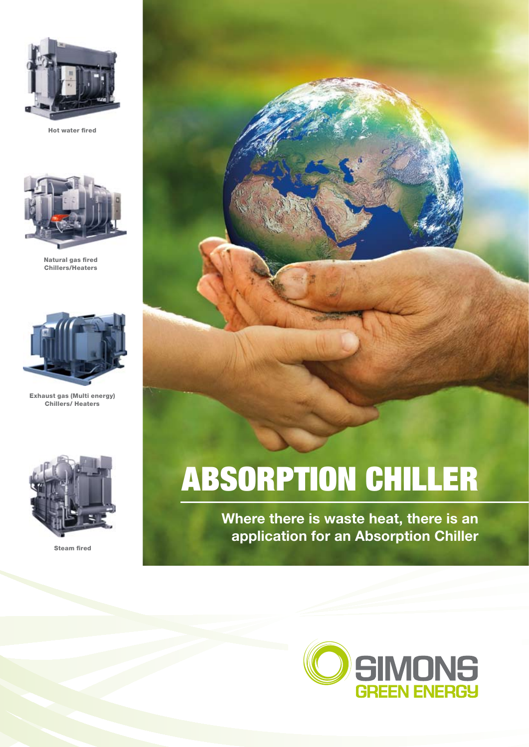

Hot water fired



Natural gas fired Chillers/Heaters



Exhaust gas (Multi energy) Chillers/ Heaters



Steam fired

# ABSORPTION CHILLER

**Where there is waste heat, there is an application for an Absorption Chiller**

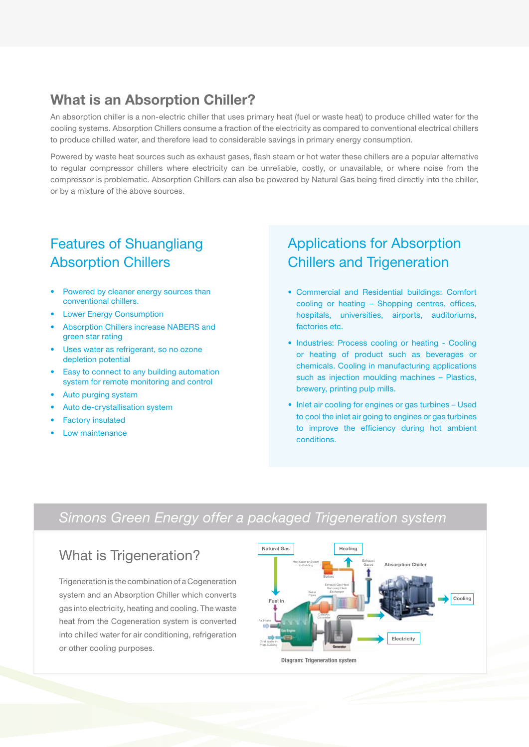# **What is an Absorption Chiller?**

An absorption chiller is a non-electric chiller that uses primary heat (fuel or waste heat) to produce chilled water for the cooling systems. Absorption Chillers consume a fraction of the electricity as compared to conventional electrical chillers to produce chilled water, and therefore lead to considerable savings in primary energy consumption.

Powered by waste heat sources such as exhaust gases, flash steam or hot water these chillers are a popular alternative to regular compressor chillers where electricity can be unreliable, costly, or unavailable, or where noise from the compressor is problematic. Absorption Chillers can also be powered by Natural Gas being fired directly into the chiller, or by a mixture of the above sources.

# Features of Shuangliang Absorption Chillers

- Powered by cleaner energy sources than conventional chillers.
- **Lower Energy Consumption**
- Absorption Chillers increase NABERS and green star rating
- Uses water as refrigerant, so no ozone depletion potential
- Easy to connect to any building automation system for remote monitoring and control
- Auto purging system
- Auto de-crystallisation system
- **Factory insulated**
- **Low maintenance**

# Applications for Absorption Chillers and Trigeneration

- Commercial and Residential buildings: Comfort cooling or heating – Shopping centres, offices, hospitals, universities, airports, auditoriums, factories etc.
- Industries: Process cooling or heating Cooling or heating of product such as beverages or chemicals. Cooling in manufacturing applications such as injection moulding machines – Plastics, brewery, printing pulp mills.
- Inlet air cooling for engines or gas turbines Used to cool the inlet air going to engines or gas turbines to improve the efficiency during hot ambient conditions.

# *Simons Green Energy offer a packaged Trigeneration system*

## What is Trigeneration?

Trigeneration is the combination of a Cogeneration system and an Absorption Chiller which converts gas into electricity, heating and cooling. The waste heat from the Cogeneration system is converted into chilled water for air conditioning, refrigeration or other cooling purposes.

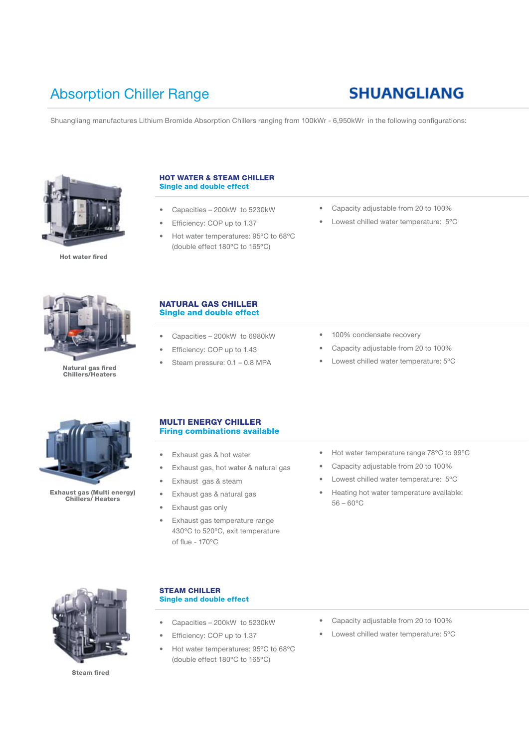# Absorption Chiller Range

# **SHUANGLIANG**

Shuangliang manufactures Lithium Bromide Absorption Chillers ranging from 100kWr - 6,950kWr in the following configurations:



Hot water fired

#### HOT WATER & STEAM CHILLER Single and double effect

- Capacities 200kW to 5230kW
- Efficiency: COP up to 1.37
- Hot water temperatures: 95ºC to 68ºC (double effect 180ºC to 165ºC)
- Capacity adjustable from 20 to 100%
- Lowest chilled water temperature: 5°C



Natural gas fired Chillers/Heaters

### NATURAL GAS CHILLER Single and double effect

- Capacities 200kW to 6980kW
- Efficiency: COP up to 1.43
- Steam pressure: 0.1 0.8 MPA
- 100% condensate recovery
- Capacity adjustable from 20 to 100%
- Lowest chilled water temperature: 5°C



Exhaust gas (Multi energy) Chillers/ Heaters

## MULTI ENERGY CHILLER Firing combinations available

- • Exhaust gas & hot water
- Exhaust gas, hot water & natural gas
- Exhaust gas & steam
- Exhaust gas & natural gas
- Exhaust gas only
- Exhaust gas temperature range 430ºC to 520ºC, exit temperature of flue - 170ºC
- Hot water temperature range 78°C to 99°C
- Capacity adjustable from 20 to 100%
- • Lowest chilled water temperature: 5ºC
- Heating hot water temperature available:  $56 - 60^{\circ}$ C



Steam fired

## STEAM CHILLER Single and double effect

- Capacities 200kW to 5230kW
- Efficiency: COP up to 1.37
- Hot water temperatures: 95ºC to 68ºC (double effect 180ºC to 165ºC)
- • Capacity adjustable from 20 to 100%
- • Lowest chilled water temperature: 5ºC